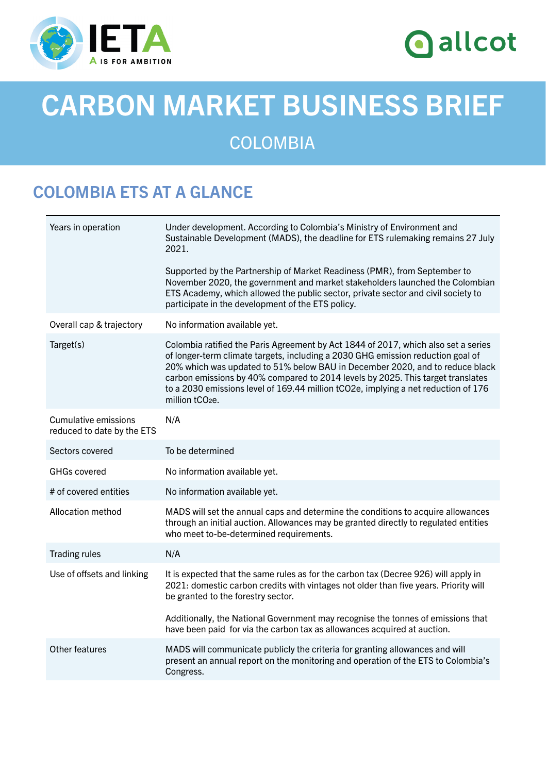

# **O** allcot

# CARBON MARKET BUSINESS BRIEF

### **COLOMBIA**

## COLOMBIA ETS AT A GLANCE

| Under development. According to Colombia's Ministry of Environment and<br>Sustainable Development (MADS), the deadline for ETS rulemaking remains 27 July<br>2021.                                                                                                                                                                                                                                                                                            |
|---------------------------------------------------------------------------------------------------------------------------------------------------------------------------------------------------------------------------------------------------------------------------------------------------------------------------------------------------------------------------------------------------------------------------------------------------------------|
| Supported by the Partnership of Market Readiness (PMR), from September to<br>November 2020, the government and market stakeholders launched the Colombian<br>ETS Academy, which allowed the public sector, private sector and civil society to<br>participate in the development of the ETS policy.                                                                                                                                                           |
| No information available yet.                                                                                                                                                                                                                                                                                                                                                                                                                                 |
| Colombia ratified the Paris Agreement by Act 1844 of 2017, which also set a series<br>of longer-term climate targets, including a 2030 GHG emission reduction goal of<br>20% which was updated to 51% below BAU in December 2020, and to reduce black<br>carbon emissions by 40% compared to 2014 levels by 2025. This target translates<br>to a 2030 emissions level of 169.44 million tCO2e, implying a net reduction of 176<br>million tCO <sub>2</sub> e. |
| N/A                                                                                                                                                                                                                                                                                                                                                                                                                                                           |
| To be determined                                                                                                                                                                                                                                                                                                                                                                                                                                              |
| No information available yet.                                                                                                                                                                                                                                                                                                                                                                                                                                 |
| No information available yet.                                                                                                                                                                                                                                                                                                                                                                                                                                 |
| MADS will set the annual caps and determine the conditions to acquire allowances<br>through an initial auction. Allowances may be granted directly to regulated entities<br>who meet to-be-determined requirements.                                                                                                                                                                                                                                           |
| N/A                                                                                                                                                                                                                                                                                                                                                                                                                                                           |
| It is expected that the same rules as for the carbon tax (Decree 926) will apply in<br>2021: domestic carbon credits with vintages not older than five years. Priority will<br>be granted to the forestry sector.                                                                                                                                                                                                                                             |
| Additionally, the National Government may recognise the tonnes of emissions that<br>have been paid for via the carbon tax as allowances acquired at auction.                                                                                                                                                                                                                                                                                                  |
| MADS will communicate publicly the criteria for granting allowances and will<br>present an annual report on the monitoring and operation of the ETS to Colombia's<br>Congress.                                                                                                                                                                                                                                                                                |
|                                                                                                                                                                                                                                                                                                                                                                                                                                                               |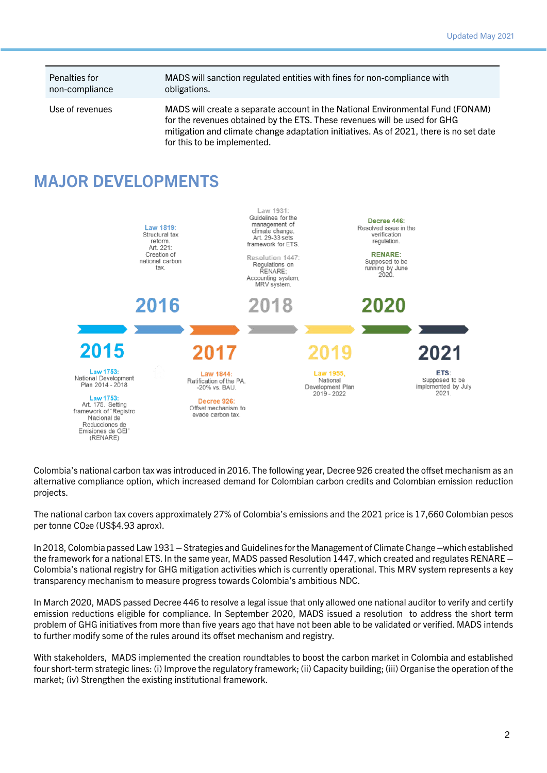Penalties for non-compliance MADS will sanction regulated entities with fines for non-compliance with obligations.

Use of revenues MADS will create a separate account in the National Environmental Fund (FONAM) for the revenues obtained by the ETS. These revenues will be used for GHG mitigation and climate change adaptation initiatives. As of 2021, there is no set date for this to be implemented.

#### MAJOR DEVELOPMENTS



Colombia's national carbon tax was introduced in 2016. The following year, Decree 926 created the offset mechanism as an alternative compliance option, which increased demand for Colombian carbon credits and Colombian emission reduction projects.

The national carbon tax covers approximately 27% of Colombia's emissions and the 2021 price is 17,660 Colombian pesos per tonne CO2e (US\$4.93 aprox).

In 2018, Colombia passed Law 1931 – Strategies and Guidelines for the Management of Climate Change –which established the framework for a national ETS. In the same year, MADS passed Resolution 1447, which created and regulates RENARE – Colombia's national registry for GHG mitigation activities which is currently operational. This MRV system represents a key transparency mechanism to measure progress towards Colombia's ambitious NDC.

In March 2020, MADS passed Decree 446 to resolve a legal issue that only allowed one national auditor to verify and certify emission reductions eligible for compliance. In September 2020, MADS issued a resolution to address the short term problem of GHG initiatives from more than five years ago that have not been able to be validated or verified. MADS intends to further modify some of the rules around its offset mechanism and registry.

With stakeholders, MADS implemented the creation roundtables to boost the carbon market in Colombia and established four short-term strategic lines: (i) Improve the regulatory framework; (ii) Capacity building; (iii) Organise the operation of the market; (iv) Strengthen the existing institutional framework.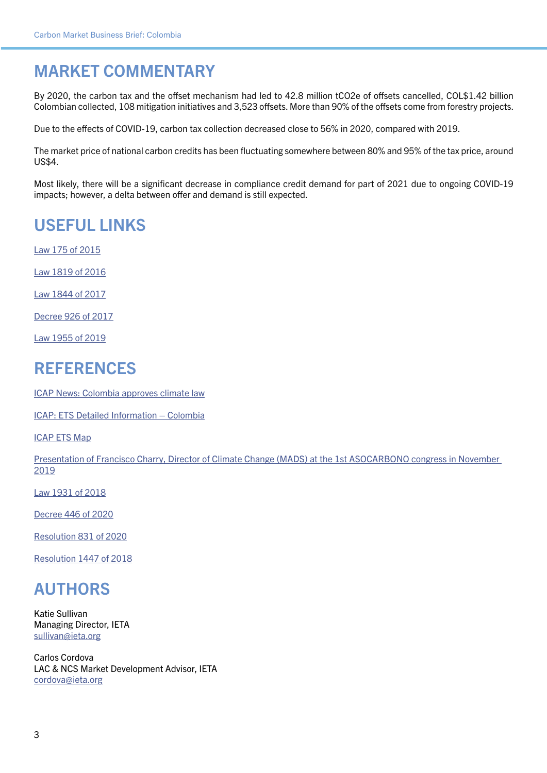#### MARKET COMMENTARY

By 2020, the carbon tax and the offset mechanism had led to 42.8 million tCO2e of offsets cancelled, COL\$1.42 billion Colombian collected, 108 mitigation initiatives and 3,523 offsets. More than 90% of the offsets come from forestry projects.

Due to the effects of COVID-19, carbon tax collection decreased close to 56% in 2020, compared with 2019.

The market price of national carbon credits has been fluctuating somewhere between 80% and 95% of the tax price, around US\$4.

Most likely, there will be a significant decrease in compliance credit demand for part of 2021 due to ongoing COVID-19 impacts; however, a delta between offer and demand is still expected.

#### USEFUL LINKS

[Law 175 of 2015](https://www.mintic.gov.co/portal/604/articles-15015_documento.pdf)

[Law 1819 of 2016](http://es.presidencia.gov.co/normativa/normativa/LEY 1819 DEL 29 DE DICIEMBRE DE 2016.pdf)

[Law 1844 of 2017](https://dapre.presidencia.gov.co/normativa/normativa/LEY 1844 DEL 14 DE JULIO DE 2017.pdf)

[Decree 926 of 2017](http://es.presidencia.gov.co/normativa/normativa/DECRETO 926 DEL 01 DE JUNIO DE 2017.pdf)

[Law 1955 of 2019](https://www.minsalud.gov.co/Normatividad_Nuevo/Ley 1955 de 2019.pdf)

#### REFERENCES

[ICAP News: Colombia approves climate law](https://icapcarbonaction.com/en/news-archive/561-colombia-approves-climate-law-with-provisions-for-a-national-program-of-greenhouse-gas-tradable-emission-quotas)

[ICAP: ETS Detailed Information – Colombia](https://icapcarbonaction.com/en/?option=com_etsmap&task=export&format=pdf&layout=list&systems%5b%5d=92)

[ICAP ETS Map](https://icapcarbonaction.com/en/ets-map)

[Presentation of Francisco Charry, Director of Climate Change \(MADS\) at the 1st ASOCARBONO congress in November](https://asocarbono.org/wp-content/uploads/2019/12/5-Francisco-Charry-Ministerio-de-Ambiente-y-Desarrollo-Sostenible.pdf)  [2019](https://asocarbono.org/wp-content/uploads/2019/12/5-Francisco-Charry-Ministerio-de-Ambiente-y-Desarrollo-Sostenible.pdf)

[Law 1931 of 2018](https://dapre.presidencia.gov.co/normativa/normativa/LEY 1931 DEL 27 DE JULIO DE 2018.pdf)

[Decree 446 of 2020](https://dapre.presidencia.gov.co/normativa/normativa/DECRETO 446 DEL 21 DE MARZO DE 2020.pdf)

[Resolution 831 of 2020](https://www.minambiente.gov.co/images/Res_0831_de_2020_-_MODIFICA_RESOLUCION_1447.pdf)

[Resolution 1447 of 2018](https://www.minambiente.gov.co/images/normativa/app/resoluciones/98-RES 1447 DE 2018.pdf)

#### AUTHORS

Katie Sullivan Managing Director, IETA [sullivan@ieta.org](mailto:sullivan%40ieta.org?subject=)

Carlos Cordova LAC & NCS Market Development Advisor, IETA [cordova@ieta.org](mailto:cordova%40ieta.org?subject=)